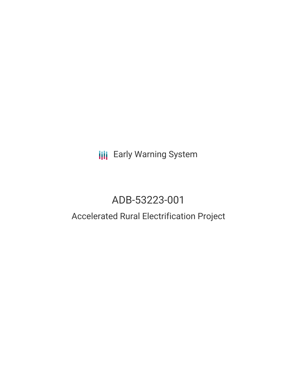# **III** Early Warning System

# ADB-53223-001

## Accelerated Rural Electrification Project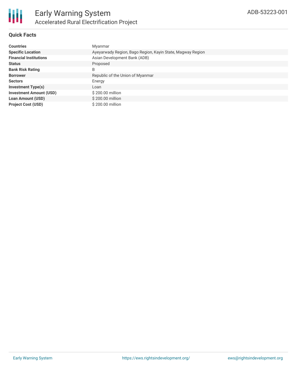

#### **Quick Facts**

| <b>Countries</b>               | Myanmar                                                    |
|--------------------------------|------------------------------------------------------------|
| <b>Specific Location</b>       | Ayeyarwady Region, Bago Region, Kayin State, Magway Region |
| <b>Financial Institutions</b>  | Asian Development Bank (ADB)                               |
| <b>Status</b>                  | Proposed                                                   |
| <b>Bank Risk Rating</b>        | B                                                          |
| <b>Borrower</b>                | Republic of the Union of Myanmar                           |
| <b>Sectors</b>                 | Energy                                                     |
| <b>Investment Type(s)</b>      | Loan                                                       |
| <b>Investment Amount (USD)</b> | \$200.00 million                                           |
| <b>Loan Amount (USD)</b>       | \$200.00 million                                           |
| <b>Project Cost (USD)</b>      | \$200.00 million                                           |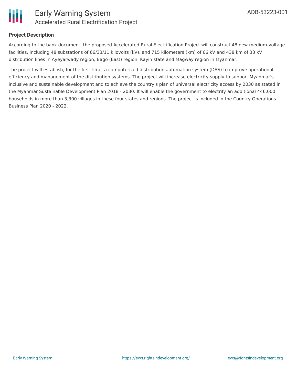

#### **Project Description**

According to the bank document, the proposed Accelerated Rural Electrification Project will construct 48 new medium-voltage facilities, including 48 substations of 66/33/11 kilovolts (kV), and 715 kilometers (km) of 66 kV and 438 km of 33 kV distribution lines in Ayeyarwady region, Bago (East) region, Kayin state and Magway region in Myanmar.

The project will establish, for the first time, a computerized distribution automation system (DAS) to improve operational efficiency and management of the distribution systems. The project will increase electricity supply to support Myanmar's inclusive and sustainable development and to achieve the country's plan of universal electricity access by 2030 as stated in the Myanmar Sustainable Development Plan 2018 - 2030. It will enable the government to electrify an additional 446,000 households in more than 3,300 villages in these four states and regions. The project is included in the Country Operations Business Plan 2020 - 2022.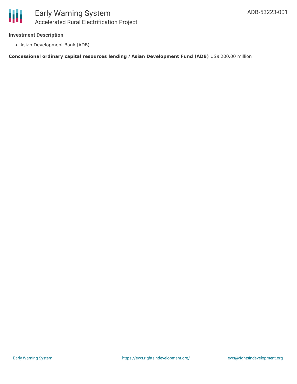#### **Investment Description**

Asian Development Bank (ADB)

**Concessional ordinary capital resources lending / Asian Development Fund (ADB)** US\$ 200.00 million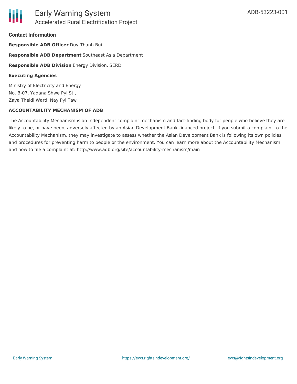#### **Contact Information**

**Responsible ADB Officer** Duy-Thanh Bui

**Responsible ADB Department** Southeast Asia Department

**Responsible ADB Division** Energy Division, SERD

#### **Executing Agencies**

Ministry of Electricity and Energy No. B-07, Yadana Shwe Pyi St., Zaya Theidi Ward, Nay Pyi Taw

#### **ACCOUNTABILITY MECHANISM OF ADB**

The Accountability Mechanism is an independent complaint mechanism and fact-finding body for people who believe they are likely to be, or have been, adversely affected by an Asian Development Bank-financed project. If you submit a complaint to the Accountability Mechanism, they may investigate to assess whether the Asian Development Bank is following its own policies and procedures for preventing harm to people or the environment. You can learn more about the Accountability Mechanism and how to file a complaint at: http://www.adb.org/site/accountability-mechanism/main